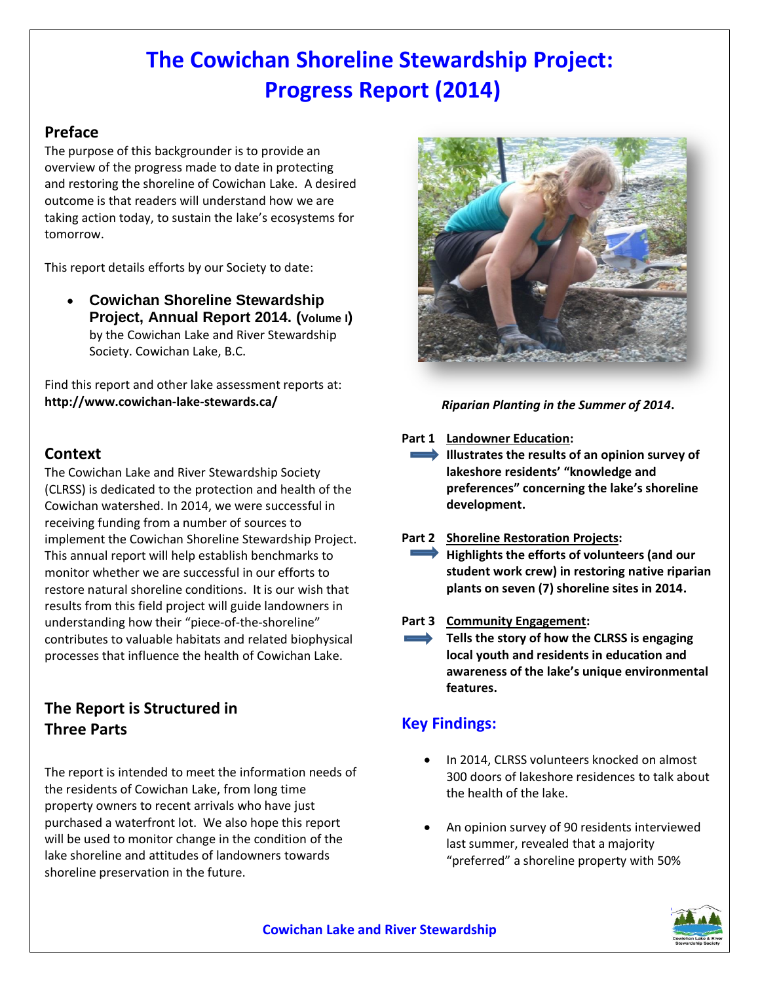## **The Cowichan Shoreline Stewardship Project: Progress Report (2014)**

## **Preface**

The purpose of this backgrounder is to provide an overview of the progress made to date in protecting and restoring the shoreline of Cowichan Lake. A desired outcome is that readers will understand how we are taking action today, to sustain the lake's ecosystems for tomorrow.

This report details efforts by our Society to date:

 **Cowichan Shoreline Stewardship Project, Annual Report 2014. (Volume I)** by the Cowichan Lake and River Stewardship Society. Cowichan Lake, B.C.

Find this report and other lake assessment reports at: **http://www.cowichan-lake-stewards.ca/**

### **Context**

The Cowichan Lake and River Stewardship Society (CLRSS) is dedicated to the protection and health of the Cowichan watershed. In 2014, we were successful in receiving funding from a number of sources to implement the Cowichan Shoreline Stewardship Project. This annual report will help establish benchmarks to monitor whether we are successful in our efforts to restore natural shoreline conditions. It is our wish that results from this field project will guide landowners in understanding how their "piece-of-the-shoreline" contributes to valuable habitats and related biophysical processes that influence the health of Cowichan Lake.

## **The Report is Structured in Three Parts**

The report is intended to meet the information needs of the residents of Cowichan Lake, from long time property owners to recent arrivals who have just purchased a waterfront lot. We also hope this report will be used to monitor change in the condition of the lake shoreline and attitudes of landowners towards shoreline preservation in the future.



### *Riparian Planting in the Summer of 2014***.**

#### **Part 1 Landowner Education:**

- **Illustrates the results of an opinion survey of lakeshore residents' "knowledge and preferences" concerning the lake's shoreline development.**
- **Part 2 Shoreline Restoration Projects: Highlights the efforts of volunteers (and our student work crew) in restoring native riparian plants on seven (7) shoreline sites in 2014.**

#### **Part 3 Community Engagement:**

**Tells the story of how the CLRSS is engaging local youth and residents in education and awareness of the lake's unique environmental features.**

## **Key Findings:**

- In 2014, CLRSS volunteers knocked on almost 300 doors of lakeshore residences to talk about the health of the lake.
- An opinion survey of 90 residents interviewed last summer, revealed that a majority "preferred" a shoreline property with 50%